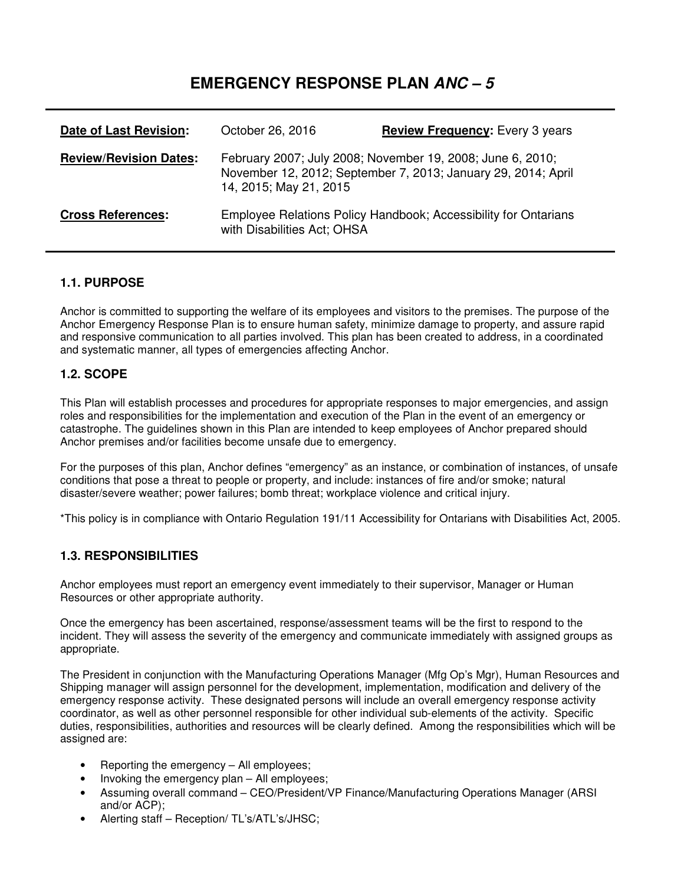# **EMERGENCY RESPONSE PLAN ANC – 5**

| Date of Last Revision:        | October 26, 2016            | <b>Review Frequency:</b> Every 3 years                                                                                      |
|-------------------------------|-----------------------------|-----------------------------------------------------------------------------------------------------------------------------|
| <b>Review/Revision Dates:</b> | 14, 2015; May 21, 2015      | February 2007; July 2008; November 19, 2008; June 6, 2010;<br>November 12, 2012; September 7, 2013; January 29, 2014; April |
| <b>Cross References:</b>      | with Disabilities Act; OHSA | Employee Relations Policy Handbook; Accessibility for Ontarians                                                             |

#### **1.1. PURPOSE**

Anchor is committed to supporting the welfare of its employees and visitors to the premises. The purpose of the Anchor Emergency Response Plan is to ensure human safety, minimize damage to property, and assure rapid and responsive communication to all parties involved. This plan has been created to address, in a coordinated and systematic manner, all types of emergencies affecting Anchor.

#### **1.2. SCOPE**

This Plan will establish processes and procedures for appropriate responses to major emergencies, and assign roles and responsibilities for the implementation and execution of the Plan in the event of an emergency or catastrophe. The guidelines shown in this Plan are intended to keep employees of Anchor prepared should Anchor premises and/or facilities become unsafe due to emergency.

For the purposes of this plan, Anchor defines "emergency" as an instance, or combination of instances, of unsafe conditions that pose a threat to people or property, and include: instances of fire and/or smoke; natural disaster/severe weather; power failures; bomb threat; workplace violence and critical injury.

\*This policy is in compliance with Ontario Regulation 191/11 Accessibility for Ontarians with Disabilities Act, 2005.

#### **1.3. RESPONSIBILITIES**

Anchor employees must report an emergency event immediately to their supervisor, Manager or Human Resources or other appropriate authority.

Once the emergency has been ascertained, response/assessment teams will be the first to respond to the incident. They will assess the severity of the emergency and communicate immediately with assigned groups as appropriate.

The President in conjunction with the Manufacturing Operations Manager (Mfg Op's Mgr), Human Resources and Shipping manager will assign personnel for the development, implementation, modification and delivery of the emergency response activity. These designated persons will include an overall emergency response activity coordinator, as well as other personnel responsible for other individual sub-elements of the activity. Specific duties, responsibilities, authorities and resources will be clearly defined. Among the responsibilities which will be assigned are:

- Reporting the emergency All employees;
- Invoking the emergency plan All employees;
- Assuming overall command CEO/President/VP Finance/Manufacturing Operations Manager (ARSI) and/or ACP);
- Alerting staff Reception/ TL's/ATL's/JHSC;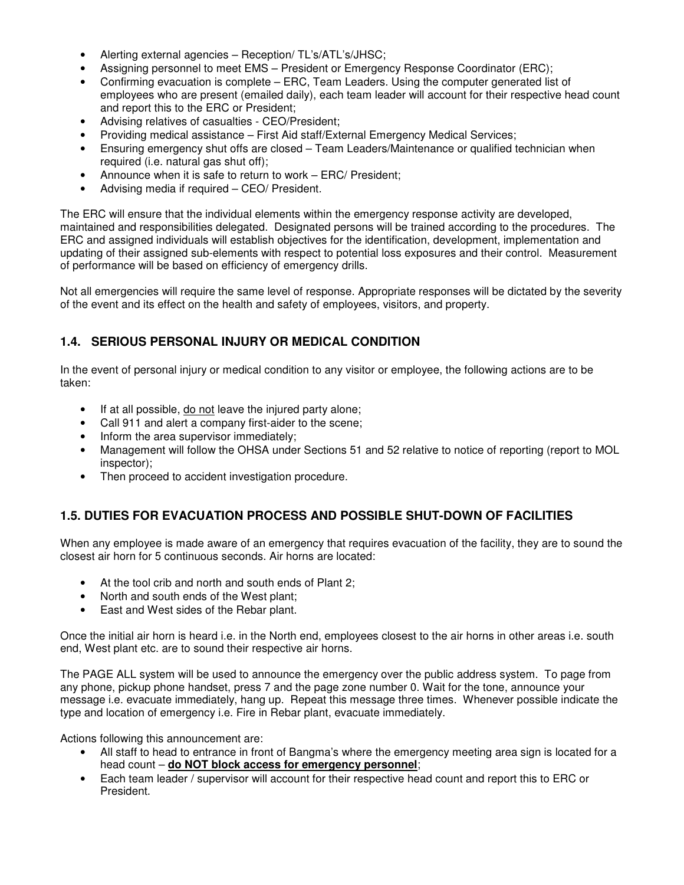- Alerting external agencies Reception/ TL's/ATL's/JHSC;
- Assigning personnel to meet EMS President or Emergency Response Coordinator (ERC);
- Confirming evacuation is complete ERC, Team Leaders. Using the computer generated list of employees who are present (emailed daily), each team leader will account for their respective head count and report this to the ERC or President;
- Advising relatives of casualties CEO/President;
- Providing medical assistance First Aid staff/External Emergency Medical Services;
- Ensuring emergency shut offs are closed Team Leaders/Maintenance or qualified technician when required (i.e. natural gas shut off);
- Announce when it is safe to return to work ERC/ President;
- Advising media if required CEO/ President.

The ERC will ensure that the individual elements within the emergency response activity are developed, maintained and responsibilities delegated. Designated persons will be trained according to the procedures. The ERC and assigned individuals will establish objectives for the identification, development, implementation and updating of their assigned sub-elements with respect to potential loss exposures and their control. Measurement of performance will be based on efficiency of emergency drills.

Not all emergencies will require the same level of response. Appropriate responses will be dictated by the severity of the event and its effect on the health and safety of employees, visitors, and property.

#### **1.4. SERIOUS PERSONAL INJURY OR MEDICAL CONDITION**

In the event of personal injury or medical condition to any visitor or employee, the following actions are to be taken:

- If at all possible, do not leave the injured party alone;
- Call 911 and alert a company first-aider to the scene;
- Inform the area supervisor immediately;
- Management will follow the OHSA under Sections 51 and 52 relative to notice of reporting (report to MOL inspector);
- Then proceed to accident investigation procedure.

#### **1.5. DUTIES FOR EVACUATION PROCESS AND POSSIBLE SHUT-DOWN OF FACILITIES**

When any employee is made aware of an emergency that requires evacuation of the facility, they are to sound the closest air horn for 5 continuous seconds. Air horns are located:

- At the tool crib and north and south ends of Plant 2;
- North and south ends of the West plant;
- East and West sides of the Rebar plant.

Once the initial air horn is heard i.e. in the North end, employees closest to the air horns in other areas i.e. south end, West plant etc. are to sound their respective air horns.

The PAGE ALL system will be used to announce the emergency over the public address system. To page from any phone, pickup phone handset, press 7 and the page zone number 0. Wait for the tone, announce your message i.e. evacuate immediately, hang up. Repeat this message three times. Whenever possible indicate the type and location of emergency i.e. Fire in Rebar plant, evacuate immediately.

Actions following this announcement are:

- All staff to head to entrance in front of Bangma's where the emergency meeting area sign is located for a head count – **do NOT block access for emergency personnel**;
- Each team leader / supervisor will account for their respective head count and report this to ERC or President.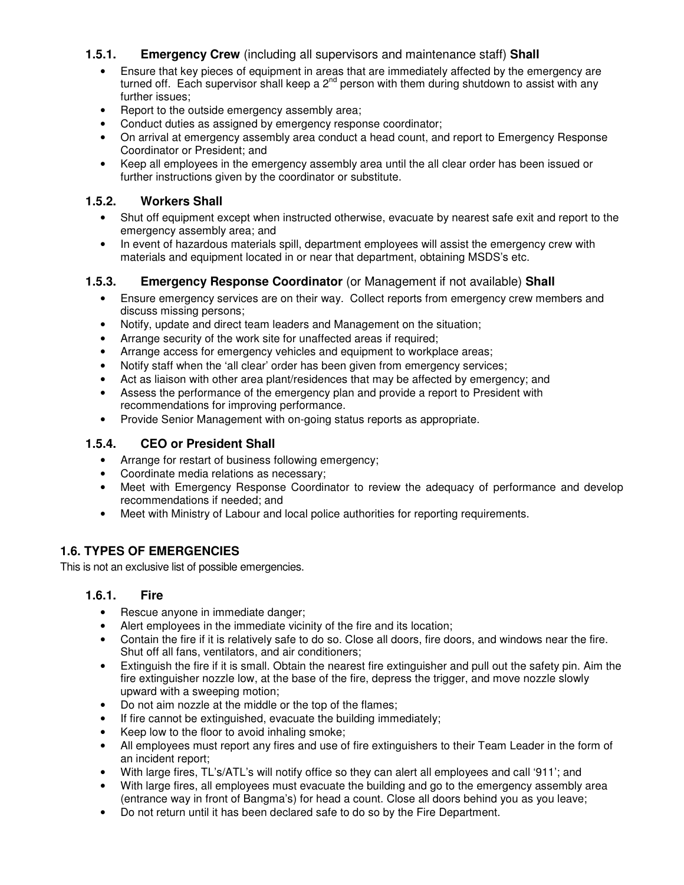### **1.5.1. Emergency Crew** (including all supervisors and maintenance staff) **Shall**

- Ensure that key pieces of equipment in areas that are immediately affected by the emergency are turned off. Each supervisor shall keep a  $2^{nd}$  person with them during shutdown to assist with any further issues;
- Report to the outside emergency assembly area;
- Conduct duties as assigned by emergency response coordinator;
- On arrival at emergency assembly area conduct a head count, and report to Emergency Response Coordinator or President; and
- Keep all employees in the emergency assembly area until the all clear order has been issued or further instructions given by the coordinator or substitute.

#### **1.5.2. Workers Shall**

- Shut off equipment except when instructed otherwise, evacuate by nearest safe exit and report to the emergency assembly area; and
- In event of hazardous materials spill, department employees will assist the emergency crew with materials and equipment located in or near that department, obtaining MSDS's etc.

### **1.5.3. Emergency Response Coordinator** (or Management if not available) **Shall**

- Ensure emergency services are on their way. Collect reports from emergency crew members and discuss missing persons;
- Notify, update and direct team leaders and Management on the situation;
- Arrange security of the work site for unaffected areas if required;
- Arrange access for emergency vehicles and equipment to workplace areas;
- Notify staff when the 'all clear' order has been given from emergency services;
- Act as liaison with other area plant/residences that may be affected by emergency; and
- Assess the performance of the emergency plan and provide a report to President with recommendations for improving performance.
- Provide Senior Management with on-going status reports as appropriate.

#### **1.5.4. CEO or President Shall**

- Arrange for restart of business following emergency;
- Coordinate media relations as necessary;
- Meet with Emergency Response Coordinator to review the adequacy of performance and develop recommendations if needed; and
- Meet with Ministry of Labour and local police authorities for reporting requirements.

### **1.6. TYPES OF EMERGENCIES**

This is not an exclusive list of possible emergencies.

#### **1.6.1. Fire**

- Rescue anyone in immediate danger;
- Alert employees in the immediate vicinity of the fire and its location;
- Contain the fire if it is relatively safe to do so. Close all doors, fire doors, and windows near the fire. Shut off all fans, ventilators, and air conditioners;
- Extinguish the fire if it is small. Obtain the nearest fire extinguisher and pull out the safety pin. Aim the fire extinguisher nozzle low, at the base of the fire, depress the trigger, and move nozzle slowly upward with a sweeping motion;
- Do not aim nozzle at the middle or the top of the flames;
- If fire cannot be extinguished, evacuate the building immediately;
- Keep low to the floor to avoid inhaling smoke;
- All employees must report any fires and use of fire extinguishers to their Team Leader in the form of an incident report;
- With large fires, TL's/ATL's will notify office so they can alert all employees and call '911'; and
- With large fires, all employees must evacuate the building and go to the emergency assembly area (entrance way in front of Bangma's) for head a count. Close all doors behind you as you leave;
- Do not return until it has been declared safe to do so by the Fire Department.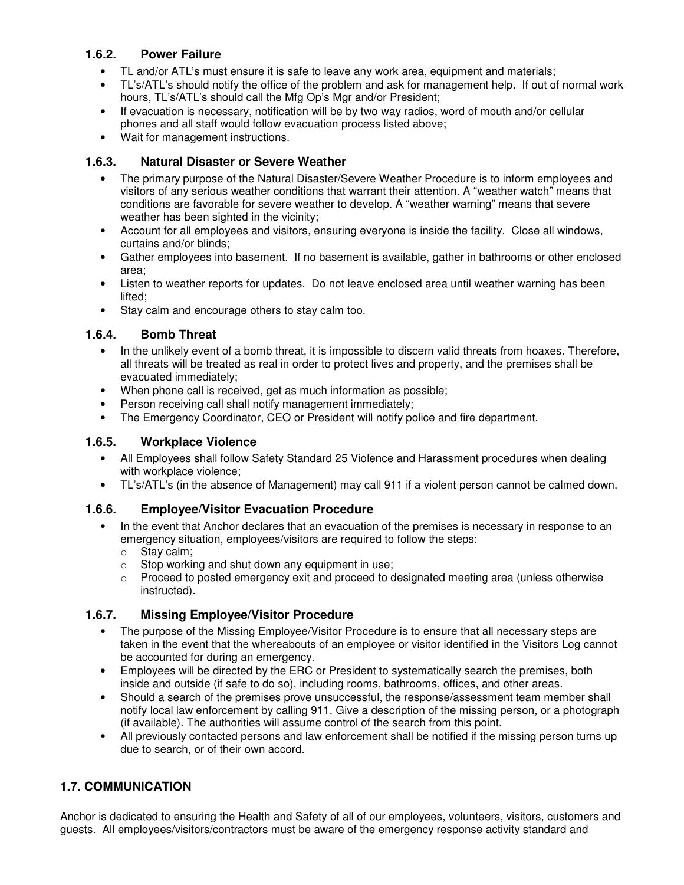### **1.6.2. Power Failure**

- TL and/or ATL's must ensure it is safe to leave any work area, equipment and materials;
- TL's/ATL's should notify the office of the problem and ask for management help. If out of normal work hours, TL's/ATL's should call the Mfg Op's Mgr and/or President;
- If evacuation is necessary, notification will be by two way radios, word of mouth and/or cellular phones and all staff would follow evacuation process listed above;
- Wait for management instructions.

### **1.6.3. Natural Disaster or Severe Weather**

- The primary purpose of the Natural Disaster/Severe Weather Procedure is to inform employees and visitors of any serious weather conditions that warrant their attention. A "weather watch" means that conditions are favorable for severe weather to develop. A "weather warning" means that severe weather has been sighted in the vicinity;
- Account for all employees and visitors, ensuring everyone is inside the facility. Close all windows, curtains and/or blinds;
- Gather employees into basement. If no basement is available, gather in bathrooms or other enclosed area;
- Listen to weather reports for updates. Do not leave enclosed area until weather warning has been lifted;
- Stay calm and encourage others to stay calm too.

### **1.6.4. Bomb Threat**

- In the unlikely event of a bomb threat, it is impossible to discern valid threats from hoaxes. Therefore, all threats will be treated as real in order to protect lives and property, and the premises shall be evacuated immediately;
- When phone call is received, get as much information as possible;
- Person receiving call shall notify management immediately;
- The Emergency Coordinator, CEO or President will notify police and fire department.

### **1.6.5. Workplace Violence**

- All Employees shall follow Safety Standard 25 Violence and Harassment procedures when dealing with workplace violence;
- TL's/ATL's (in the absence of Management) may call 911 if a violent person cannot be calmed down.

## **1.6.6. Employee/Visitor Evacuation Procedure**

- In the event that Anchor declares that an evacuation of the premises is necessary in response to an emergency situation, employees/visitors are required to follow the steps:
	- o Stay calm;
	- o Stop working and shut down any equipment in use;
	- o Proceed to posted emergency exit and proceed to designated meeting area (unless otherwise instructed).

## **1.6.7. Missing Employee/Visitor Procedure**

- The purpose of the Missing Employee/Visitor Procedure is to ensure that all necessary steps are taken in the event that the whereabouts of an employee or visitor identified in the Visitors Log cannot be accounted for during an emergency.
- Employees will be directed by the ERC or President to systematically search the premises, both inside and outside (if safe to do so), including rooms, bathrooms, offices, and other areas.
- Should a search of the premises prove unsuccessful, the response/assessment team member shall notify local law enforcement by calling 911. Give a description of the missing person, or a photograph (if available). The authorities will assume control of the search from this point.
- All previously contacted persons and law enforcement shall be notified if the missing person turns up due to search, or of their own accord.

## **1.7. COMMUNICATION**

Anchor is dedicated to ensuring the Health and Safety of all of our employees, volunteers, visitors, customers and guests. All employees/visitors/contractors must be aware of the emergency response activity standard and